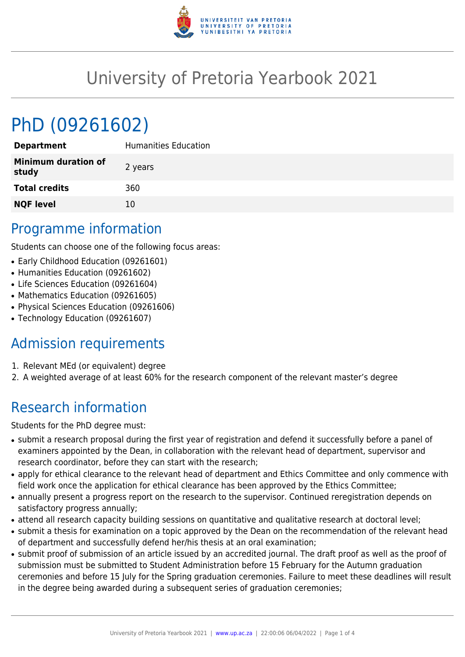

## University of Pretoria Yearbook 2021

# PhD (09261602)

| <b>Department</b>                   | <b>Humanities Education</b> |
|-------------------------------------|-----------------------------|
| <b>Minimum duration of</b><br>study | 2 years                     |
| <b>Total credits</b>                | 360                         |
| <b>NQF level</b>                    | 10                          |

#### Programme information

Students can choose one of the following focus areas:

- Early Childhood Education (09261601)
- Humanities Education (09261602)
- Life Sciences Education (09261604)
- Mathematics Education (09261605)
- Physical Sciences Education (09261606)
- Technology Education (09261607)

## Admission requirements

- 1. Relevant MEd (or equivalent) degree
- 2. A weighted average of at least 60% for the research component of the relevant master's degree

## Research information

Students for the PhD degree must:

- submit a research proposal during the first year of registration and defend it successfully before a panel of examiners appointed by the Dean, in collaboration with the relevant head of department, supervisor and research coordinator, before they can start with the research;
- apply for ethical clearance to the relevant head of department and Ethics Committee and only commence with field work once the application for ethical clearance has been approved by the Ethics Committee;
- annually present a progress report on the research to the supervisor. Continued reregistration depends on satisfactory progress annually;
- attend all research capacity building sessions on quantitative and qualitative research at doctoral level;
- submit a thesis for examination on a topic approved by the Dean on the recommendation of the relevant head of department and successfully defend her/his thesis at an oral examination;
- submit proof of submission of an article issued by an accredited journal. The draft proof as well as the proof of submission must be submitted to Student Administration before 15 February for the Autumn graduation ceremonies and before 15 July for the Spring graduation ceremonies. Failure to meet these deadlines will result in the degree being awarded during a subsequent series of graduation ceremonies;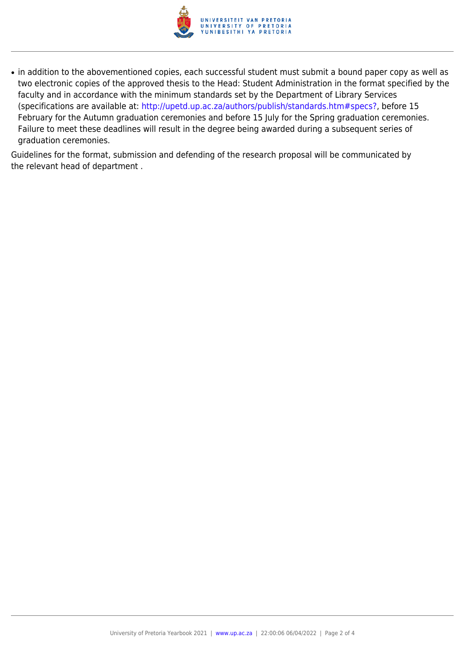

• in addition to the abovementioned copies, each successful student must submit a bound paper copy as well as two electronic copies of the approved thesis to the Head: Student Administration in the format specified by the faculty and in accordance with the minimum standards set by the Department of Library Services (specifications are available at: [http://upetd.up.ac.za/authors/publish/standards.htm#specs?,](http://upetd.up.ac.za/authors/publish/standards.htm#specs) before 15 February for the Autumn graduation ceremonies and before 15 July for the Spring graduation ceremonies. Failure to meet these deadlines will result in the degree being awarded during a subsequent series of graduation ceremonies.

Guidelines for the format, submission and defending of the research proposal will be communicated by the relevant head of department .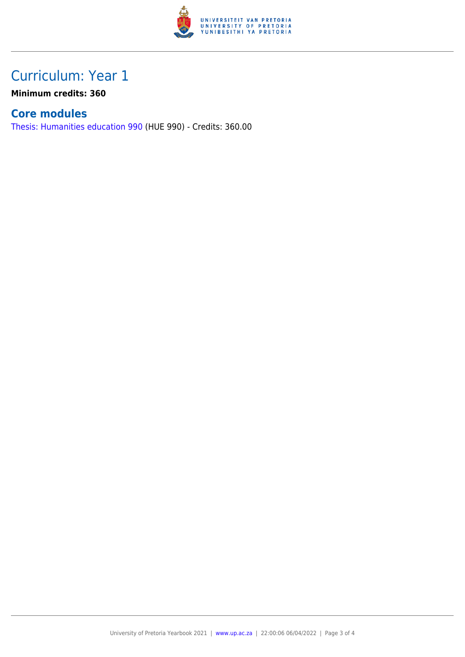

#### Curriculum: Year 1

**Minimum credits: 360**

#### **Core modules**

[Thesis: Humanities education 990](https://www.up.ac.za/parents/yearbooks/2021/modules/view/HUE 990) (HUE 990) - Credits: 360.00